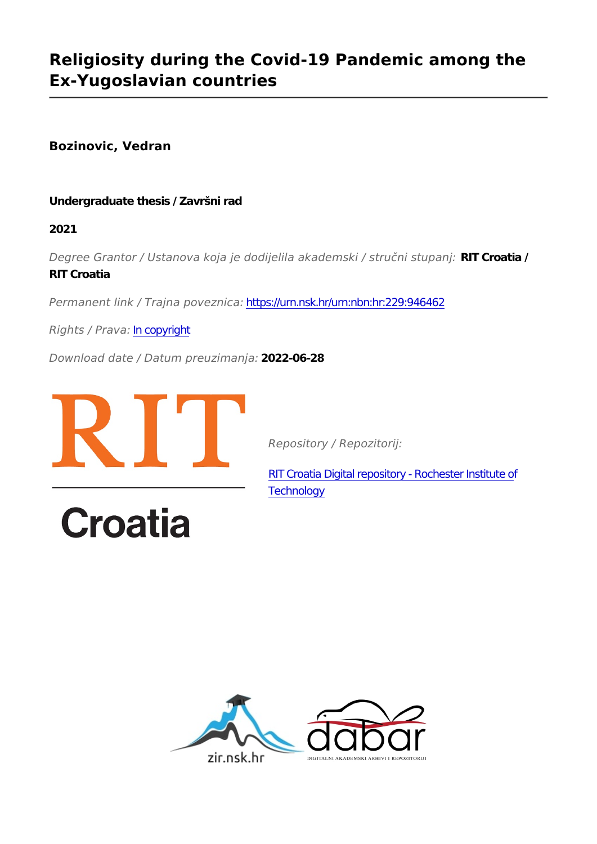# **Religiosity during the Covid-19 Pandemic among the Ex-Yugoslavian countries**

**Bozinovic, Vedran**

## **Undergraduate thesis / Završni rad**

**2021**

*Degree Grantor / Ustanova koja je dodijelila akademski / stručni stupanj:* **RIT Croatia / RIT Croatia**

*Permanent link / Trajna poveznica:* <https://urn.nsk.hr/urn:nbn:hr:229:946462>

*Rights / Prava:* [In copyright](http://rightsstatements.org/vocab/InC/1.0/)

*Download date / Datum preuzimanja:* **2022-06-28**



**Croatia** 

*Repository / Repozitorij:*

[RIT Croatia Digital repository - Rochester Institute o](https://repository.acmt.hr)f **[Technology](https://repository.acmt.hr)** 

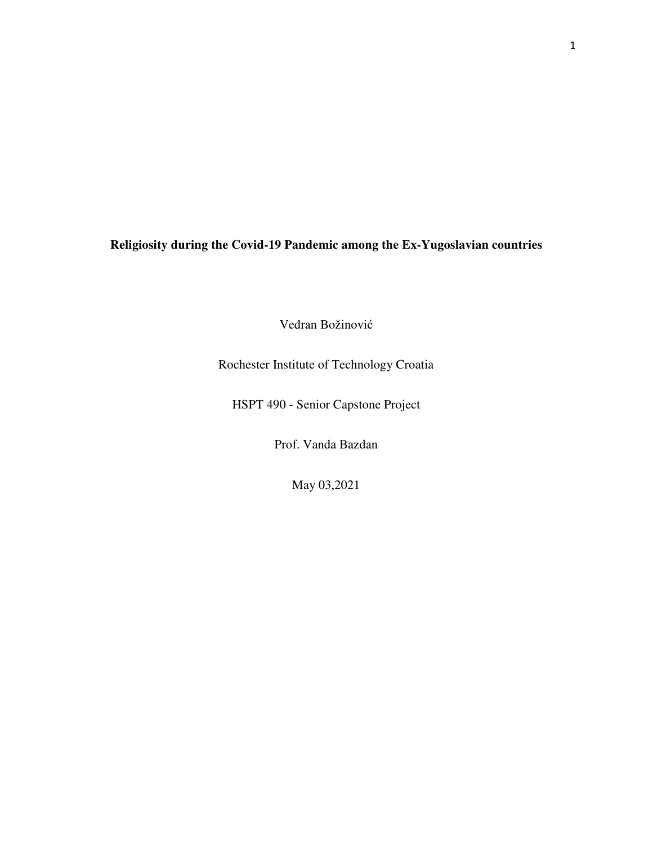**Religiosity during the Covid-19 Pandemic among the Ex-Yugoslavian countries** 

Vedran Božinović

Rochester Institute of Technology Croatia

HSPT 490 - Senior Capstone Project

Prof. Vanda Bazdan

May 03,2021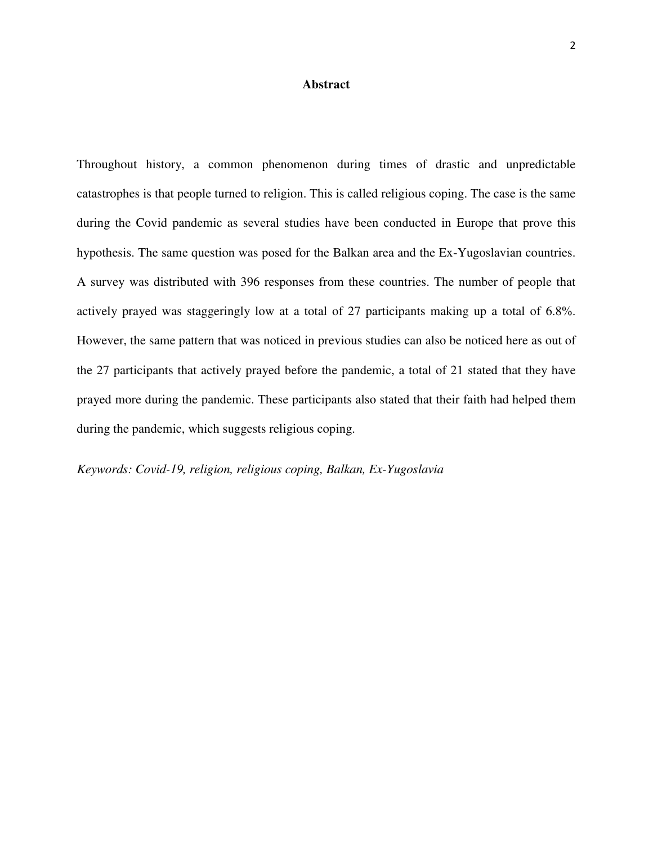#### **Abstract**

Throughout history, a common phenomenon during times of drastic and unpredictable catastrophes is that people turned to religion. This is called religious coping. The case is the same during the Covid pandemic as several studies have been conducted in Europe that prove this hypothesis. The same question was posed for the Balkan area and the Ex-Yugoslavian countries. A survey was distributed with 396 responses from these countries. The number of people that actively prayed was staggeringly low at a total of 27 participants making up a total of 6.8%. However, the same pattern that was noticed in previous studies can also be noticed here as out of the 27 participants that actively prayed before the pandemic, a total of 21 stated that they have prayed more during the pandemic. These participants also stated that their faith had helped them during the pandemic, which suggests religious coping.

*Keywords: Covid-19, religion, religious coping, Balkan, Ex-Yugoslavia*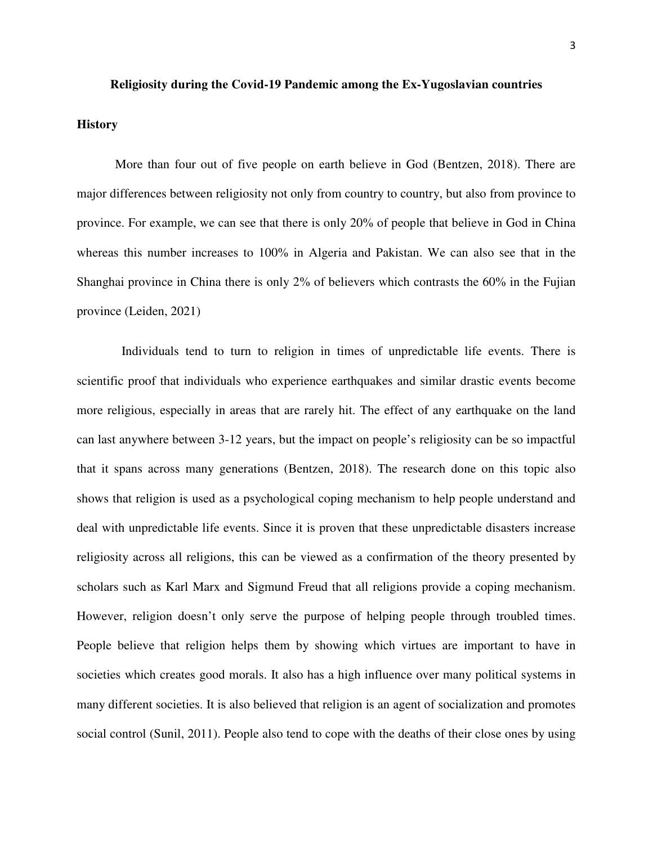#### **Religiosity during the Covid-19 Pandemic among the Ex-Yugoslavian countries**

#### **History**

More than four out of five people on earth believe in God (Bentzen, 2018). There are major differences between religiosity not only from country to country, but also from province to province. For example, we can see that there is only 20% of people that believe in God in China whereas this number increases to 100% in Algeria and Pakistan. We can also see that in the Shanghai province in China there is only 2% of believers which contrasts the 60% in the Fujian province (Leiden, 2021)

 Individuals tend to turn to religion in times of unpredictable life events. There is scientific proof that individuals who experience earthquakes and similar drastic events become more religious, especially in areas that are rarely hit. The effect of any earthquake on the land can last anywhere between 3-12 years, but the impact on people's religiosity can be so impactful that it spans across many generations (Bentzen, 2018). The research done on this topic also shows that religion is used as a psychological coping mechanism to help people understand and deal with unpredictable life events. Since it is proven that these unpredictable disasters increase religiosity across all religions, this can be viewed as a confirmation of the theory presented by scholars such as Karl Marx and Sigmund Freud that all religions provide a coping mechanism. However, religion doesn't only serve the purpose of helping people through troubled times. People believe that religion helps them by showing which virtues are important to have in societies which creates good morals. It also has a high influence over many political systems in many different societies. It is also believed that religion is an agent of socialization and promotes social control (Sunil, 2011). People also tend to cope with the deaths of their close ones by using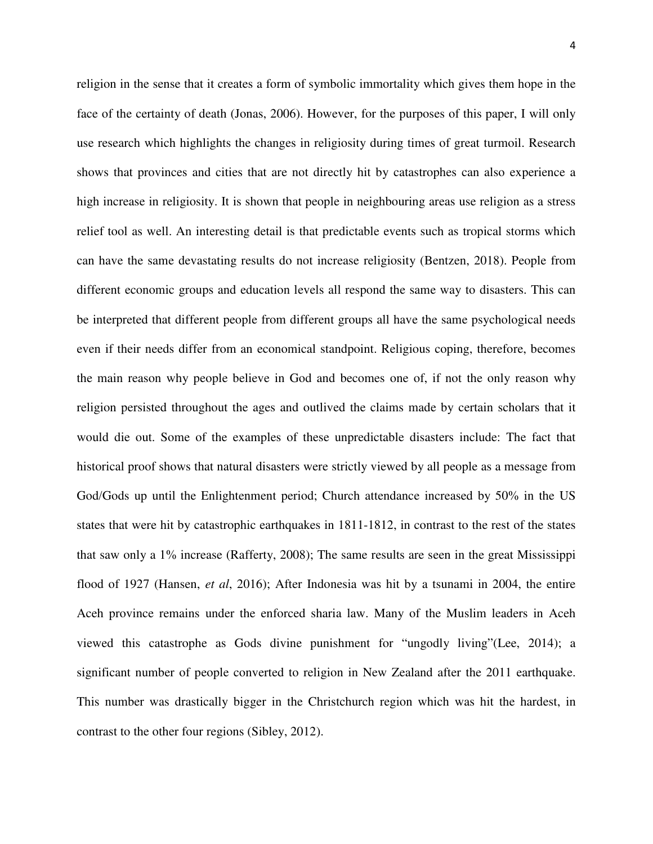religion in the sense that it creates a form of symbolic immortality which gives them hope in the face of the certainty of death (Jonas, 2006). However, for the purposes of this paper, I will only use research which highlights the changes in religiosity during times of great turmoil. Research shows that provinces and cities that are not directly hit by catastrophes can also experience a high increase in religiosity. It is shown that people in neighbouring areas use religion as a stress relief tool as well. An interesting detail is that predictable events such as tropical storms which can have the same devastating results do not increase religiosity (Bentzen, 2018). People from different economic groups and education levels all respond the same way to disasters. This can be interpreted that different people from different groups all have the same psychological needs even if their needs differ from an economical standpoint. Religious coping, therefore, becomes the main reason why people believe in God and becomes one of, if not the only reason why religion persisted throughout the ages and outlived the claims made by certain scholars that it would die out. Some of the examples of these unpredictable disasters include: The fact that historical proof shows that natural disasters were strictly viewed by all people as a message from God/Gods up until the Enlightenment period; Church attendance increased by 50% in the US states that were hit by catastrophic earthquakes in 1811-1812, in contrast to the rest of the states that saw only a 1% increase (Rafferty, 2008); The same results are seen in the great Mississippi flood of 1927 (Hansen, *et al*, 2016); After Indonesia was hit by a tsunami in 2004, the entire Aceh province remains under the enforced sharia law. Many of the Muslim leaders in Aceh viewed this catastrophe as Gods divine punishment for "ungodly living"(Lee, 2014); a significant number of people converted to religion in New Zealand after the 2011 earthquake. This number was drastically bigger in the Christchurch region which was hit the hardest, in contrast to the other four regions (Sibley, 2012).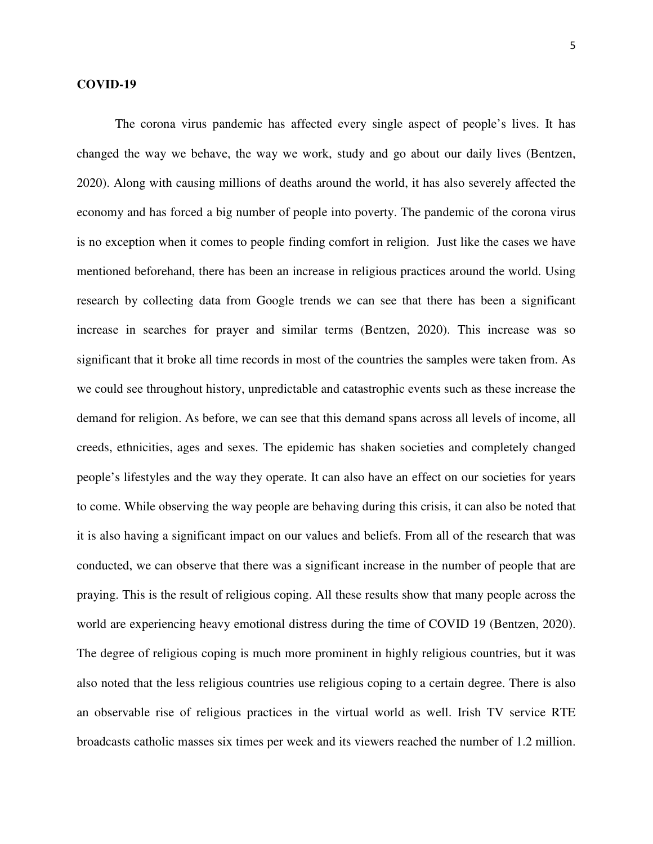#### **COVID-19**

The corona virus pandemic has affected every single aspect of people's lives. It has changed the way we behave, the way we work, study and go about our daily lives (Bentzen, 2020). Along with causing millions of deaths around the world, it has also severely affected the economy and has forced a big number of people into poverty. The pandemic of the corona virus is no exception when it comes to people finding comfort in religion. Just like the cases we have mentioned beforehand, there has been an increase in religious practices around the world. Using research by collecting data from Google trends we can see that there has been a significant increase in searches for prayer and similar terms (Bentzen, 2020). This increase was so significant that it broke all time records in most of the countries the samples were taken from. As we could see throughout history, unpredictable and catastrophic events such as these increase the demand for religion. As before, we can see that this demand spans across all levels of income, all creeds, ethnicities, ages and sexes. The epidemic has shaken societies and completely changed people's lifestyles and the way they operate. It can also have an effect on our societies for years to come. While observing the way people are behaving during this crisis, it can also be noted that it is also having a significant impact on our values and beliefs. From all of the research that was conducted, we can observe that there was a significant increase in the number of people that are praying. This is the result of religious coping. All these results show that many people across the world are experiencing heavy emotional distress during the time of COVID 19 (Bentzen, 2020). The degree of religious coping is much more prominent in highly religious countries, but it was also noted that the less religious countries use religious coping to a certain degree. There is also an observable rise of religious practices in the virtual world as well. Irish TV service RTE broadcasts catholic masses six times per week and its viewers reached the number of 1.2 million.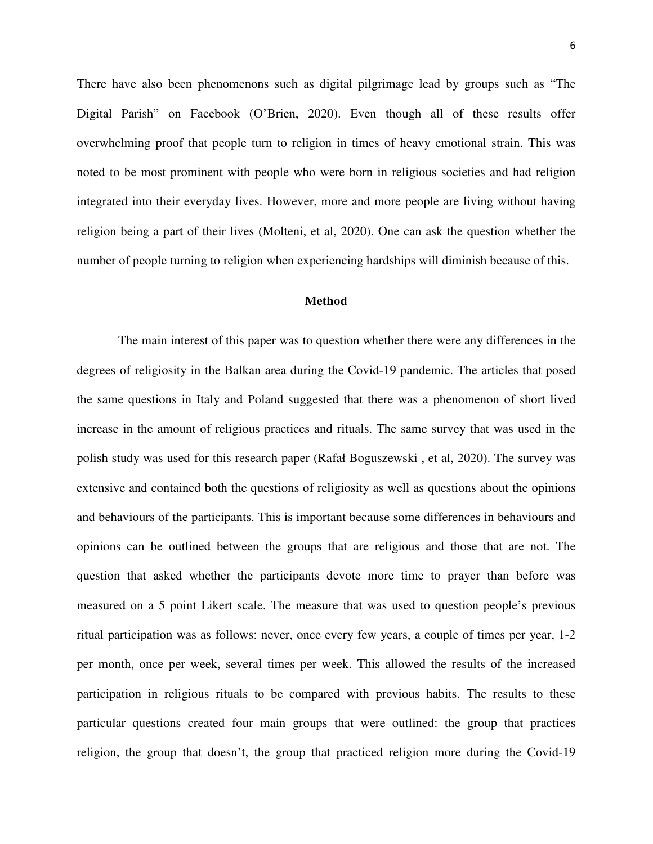There have also been phenomenons such as digital pilgrimage lead by groups such as "The Digital Parish" on Facebook (O'Brien, 2020). Even though all of these results offer overwhelming proof that people turn to religion in times of heavy emotional strain. This was noted to be most prominent with people who were born in religious societies and had religion integrated into their everyday lives. However, more and more people are living without having religion being a part of their lives (Molteni, et al, 2020). One can ask the question whether the number of people turning to religion when experiencing hardships will diminish because of this.

#### **Method**

 The main interest of this paper was to question whether there were any differences in the degrees of religiosity in the Balkan area during the Covid-19 pandemic. The articles that posed the same questions in Italy and Poland suggested that there was a phenomenon of short lived increase in the amount of religious practices and rituals. The same survey that was used in the polish study was used for this research paper (Rafał Boguszewski , et al, 2020). The survey was extensive and contained both the questions of religiosity as well as questions about the opinions and behaviours of the participants. This is important because some differences in behaviours and opinions can be outlined between the groups that are religious and those that are not. The question that asked whether the participants devote more time to prayer than before was measured on a 5 point Likert scale. The measure that was used to question people's previous ritual participation was as follows: never, once every few years, a couple of times per year, 1-2 per month, once per week, several times per week. This allowed the results of the increased participation in religious rituals to be compared with previous habits. The results to these particular questions created four main groups that were outlined: the group that practices religion, the group that doesn't, the group that practiced religion more during the Covid-19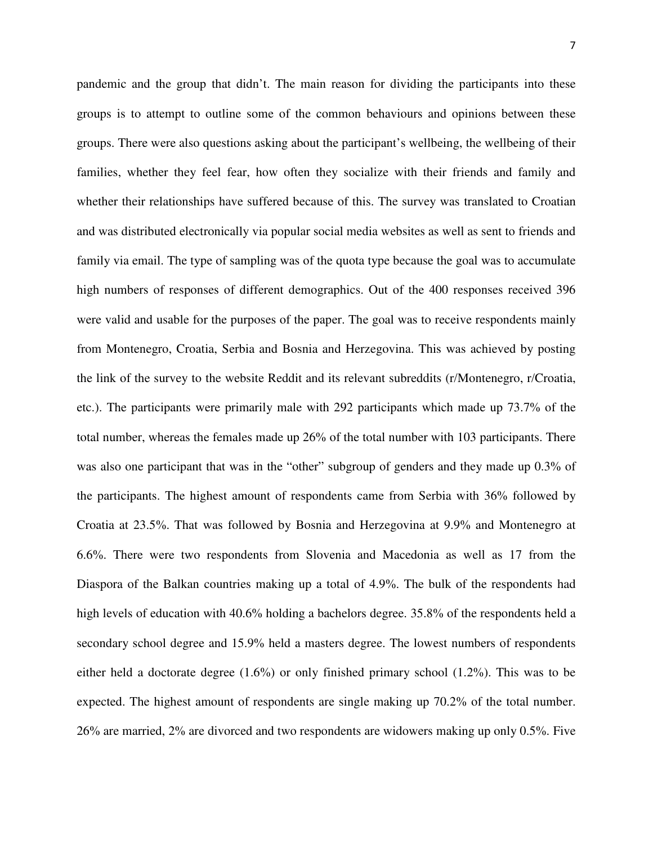pandemic and the group that didn't. The main reason for dividing the participants into these groups is to attempt to outline some of the common behaviours and opinions between these groups. There were also questions asking about the participant's wellbeing, the wellbeing of their families, whether they feel fear, how often they socialize with their friends and family and whether their relationships have suffered because of this. The survey was translated to Croatian and was distributed electronically via popular social media websites as well as sent to friends and family via email. The type of sampling was of the quota type because the goal was to accumulate high numbers of responses of different demographics. Out of the 400 responses received 396 were valid and usable for the purposes of the paper. The goal was to receive respondents mainly from Montenegro, Croatia, Serbia and Bosnia and Herzegovina. This was achieved by posting the link of the survey to the website Reddit and its relevant subreddits (r/Montenegro, r/Croatia, etc.). The participants were primarily male with 292 participants which made up 73.7% of the total number, whereas the females made up 26% of the total number with 103 participants. There was also one participant that was in the "other" subgroup of genders and they made up 0.3% of the participants. The highest amount of respondents came from Serbia with 36% followed by Croatia at 23.5%. That was followed by Bosnia and Herzegovina at 9.9% and Montenegro at 6.6%. There were two respondents from Slovenia and Macedonia as well as 17 from the Diaspora of the Balkan countries making up a total of 4.9%. The bulk of the respondents had high levels of education with 40.6% holding a bachelors degree. 35.8% of the respondents held a secondary school degree and 15.9% held a masters degree. The lowest numbers of respondents either held a doctorate degree (1.6%) or only finished primary school (1.2%). This was to be expected. The highest amount of respondents are single making up 70.2% of the total number. 26% are married, 2% are divorced and two respondents are widowers making up only 0.5%. Five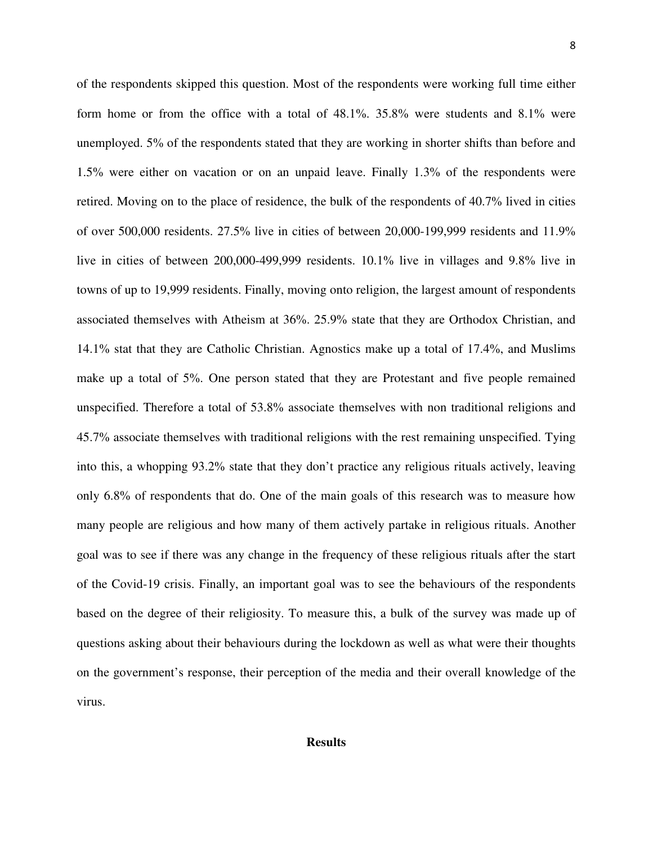8

of the respondents skipped this question. Most of the respondents were working full time either form home or from the office with a total of 48.1%. 35.8% were students and 8.1% were unemployed. 5% of the respondents stated that they are working in shorter shifts than before and 1.5% were either on vacation or on an unpaid leave. Finally 1.3% of the respondents were retired. Moving on to the place of residence, the bulk of the respondents of 40.7% lived in cities of over 500,000 residents. 27.5% live in cities of between 20,000-199,999 residents and 11.9% live in cities of between 200,000-499,999 residents. 10.1% live in villages and 9.8% live in towns of up to 19,999 residents. Finally, moving onto religion, the largest amount of respondents associated themselves with Atheism at 36%. 25.9% state that they are Orthodox Christian, and 14.1% stat that they are Catholic Christian. Agnostics make up a total of 17.4%, and Muslims make up a total of 5%. One person stated that they are Protestant and five people remained unspecified. Therefore a total of 53.8% associate themselves with non traditional religions and 45.7% associate themselves with traditional religions with the rest remaining unspecified. Tying into this, a whopping 93.2% state that they don't practice any religious rituals actively, leaving only 6.8% of respondents that do. One of the main goals of this research was to measure how many people are religious and how many of them actively partake in religious rituals. Another goal was to see if there was any change in the frequency of these religious rituals after the start of the Covid-19 crisis. Finally, an important goal was to see the behaviours of the respondents based on the degree of their religiosity. To measure this, a bulk of the survey was made up of questions asking about their behaviours during the lockdown as well as what were their thoughts on the government's response, their perception of the media and their overall knowledge of the virus.

#### **Results**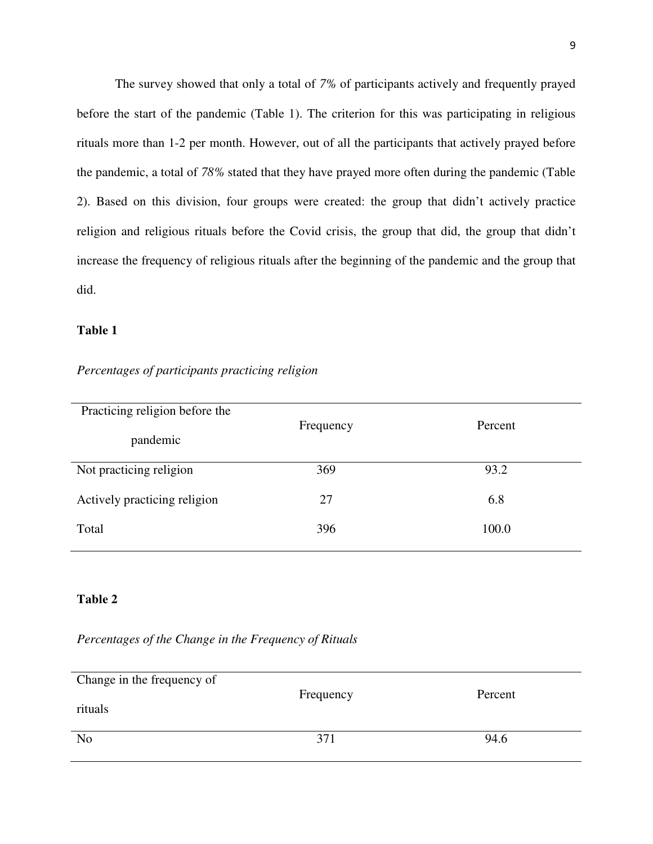The survey showed that only a total of *7%* of participants actively and frequently prayed before the start of the pandemic (Table 1). The criterion for this was participating in religious rituals more than 1-2 per month. However, out of all the participants that actively prayed before the pandemic, a total of *78%* stated that they have prayed more often during the pandemic (Table 2). Based on this division, four groups were created: the group that didn't actively practice religion and religious rituals before the Covid crisis, the group that did, the group that didn't increase the frequency of religious rituals after the beginning of the pandemic and the group that did.

### **Table 1**

| Practicing religion before the |           |         |
|--------------------------------|-----------|---------|
| pandemic                       | Frequency | Percent |
| Not practicing religion        | 369       | 93.2    |
| Actively practicing religion   | 27        | 6.8     |
| Total                          | 396       | 100.0   |
|                                |           |         |

*Percentages of participants practicing religion* 

### **Table 2**

*Percentages of the Change in the Frequency of Rituals* 

| Change in the frequency of |           |         |
|----------------------------|-----------|---------|
| rituals                    | Frequency | Percent |
| N <sub>o</sub>             | 371       | 94.6    |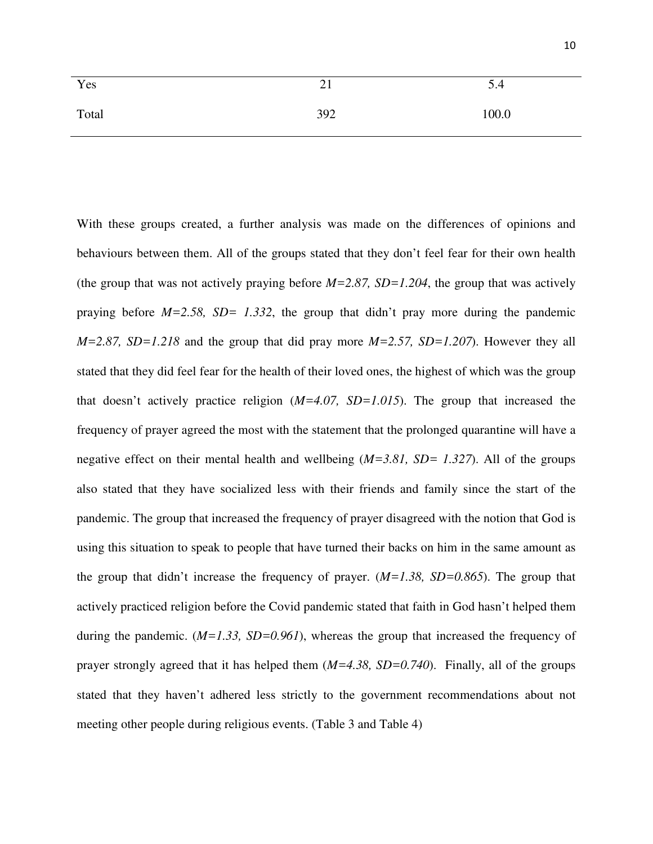| Yes   | ⌒<br>$\sim$ 1 | 5.4   |
|-------|---------------|-------|
| Total | 392           | 100.0 |

With these groups created, a further analysis was made on the differences of opinions and behaviours between them. All of the groups stated that they don't feel fear for their own health (the group that was not actively praying before *M=2.87, SD=1.204*, the group that was actively praying before  $M=2.58$ ,  $SD=1.332$ , the group that didn't pray more during the pandemic *M=2.87, SD=1.218* and the group that did pray more *M=2.57, SD=1.207*). However they all stated that they did feel fear for the health of their loved ones, the highest of which was the group that doesn't actively practice religion (*M=4.07, SD=1.015*). The group that increased the frequency of prayer agreed the most with the statement that the prolonged quarantine will have a negative effect on their mental health and wellbeing (*M=3.81, SD= 1.327*). All of the groups also stated that they have socialized less with their friends and family since the start of the pandemic. The group that increased the frequency of prayer disagreed with the notion that God is using this situation to speak to people that have turned their backs on him in the same amount as the group that didn't increase the frequency of prayer. (*M=1.38, SD=0.865*). The group that actively practiced religion before the Covid pandemic stated that faith in God hasn't helped them during the pandemic.  $(M=1.33, SD=0.961)$ , whereas the group that increased the frequency of prayer strongly agreed that it has helped them (*M=4.38, SD=0.740*). Finally, all of the groups stated that they haven't adhered less strictly to the government recommendations about not meeting other people during religious events. (Table 3 and Table 4)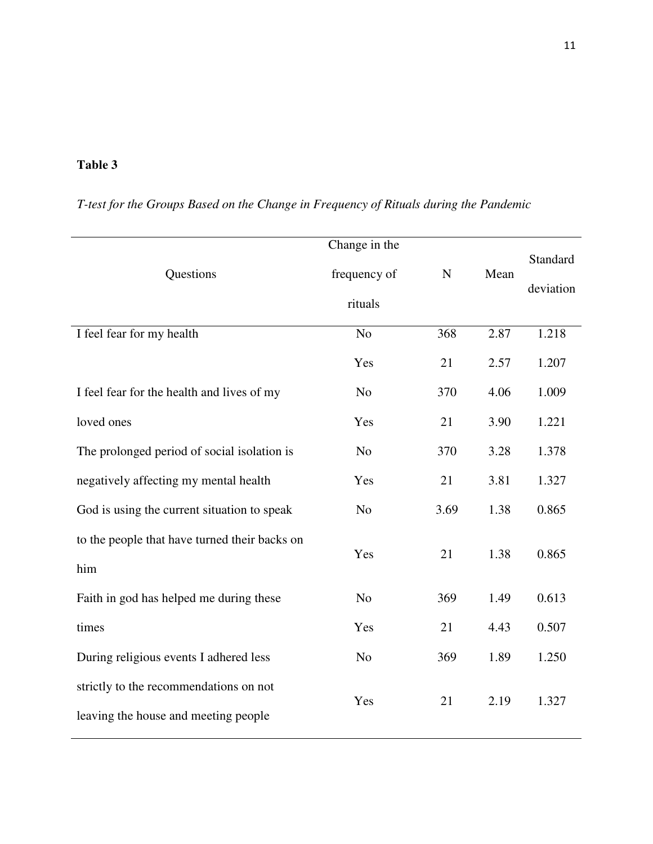## **Table 3**

|                                               | Change in the  |           |      |           |
|-----------------------------------------------|----------------|-----------|------|-----------|
| Questions                                     | frequency of   | ${\bf N}$ | Mean | Standard  |
|                                               | rituals        |           |      | deviation |
| I feel fear for my health                     | N <sub>o</sub> | 368       | 2.87 | 1.218     |
|                                               | Yes            | 21        | 2.57 | 1.207     |
| I feel fear for the health and lives of my    | N <sub>o</sub> | 370       | 4.06 | 1.009     |
| loved ones                                    | Yes            | 21        | 3.90 | 1.221     |
| The prolonged period of social isolation is   | N <sub>o</sub> | 370       | 3.28 | 1.378     |
| negatively affecting my mental health         | Yes            | 21        | 3.81 | 1.327     |
| God is using the current situation to speak   | N <sub>o</sub> | 3.69      | 1.38 | 0.865     |
| to the people that have turned their backs on | Yes            | 21        | 1.38 | 0.865     |
| him                                           |                |           |      |           |
| Faith in god has helped me during these       | N <sub>o</sub> | 369       | 1.49 | 0.613     |
| times                                         | Yes            | 21        | 4.43 | 0.507     |
| During religious events I adhered less        | N <sub>o</sub> | 369       | 1.89 | 1.250     |
| strictly to the recommendations on not        |                |           |      | 1.327     |
| leaving the house and meeting people          | Yes            | 21        | 2.19 |           |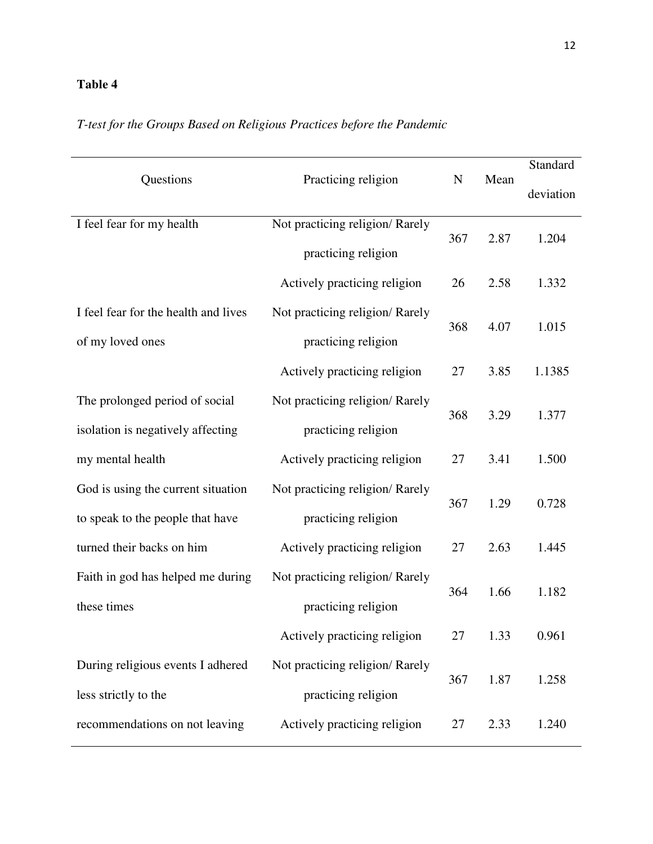## **Table 4**

## *T-test for the Groups Based on Religious Practices before the Pandemic*

|                                      |                                 |             |      | Standard  |
|--------------------------------------|---------------------------------|-------------|------|-----------|
| Questions                            | Practicing religion             | $\mathbf N$ | Mean | deviation |
| I feel fear for my health            | Not practicing religion/ Rarely |             |      |           |
|                                      | practicing religion             | 367         | 2.87 | 1.204     |
|                                      | Actively practicing religion    | 26          | 2.58 | 1.332     |
| I feel fear for the health and lives | Not practicing religion/ Rarely | 368         | 4.07 | 1.015     |
| of my loved ones                     | practicing religion             |             |      |           |
|                                      | Actively practicing religion    | 27          | 3.85 | 1.1385    |
| The prolonged period of social       | Not practicing religion/ Rarely | 368         | 3.29 | 1.377     |
| isolation is negatively affecting    | practicing religion             |             |      |           |
| my mental health                     | Actively practicing religion    | 27          | 3.41 | 1.500     |
| God is using the current situation   | Not practicing religion/ Rarely |             |      |           |
| to speak to the people that have     | practicing religion             | 367         | 1.29 | 0.728     |
| turned their backs on him            | Actively practicing religion    | 27          | 2.63 | 1.445     |
| Faith in god has helped me during    | Not practicing religion/ Rarely |             |      |           |
| these times                          | practicing religion             | 364         | 1.66 | 1.182     |
|                                      | Actively practicing religion    | 27          | 1.33 | 0.961     |
| During religious events I adhered    | Not practicing religion/Rarely  |             |      |           |
| less strictly to the                 | practicing religion             | 367         | 1.87 | 1.258     |
| recommendations on not leaving       | Actively practicing religion    | 27          | 2.33 | 1.240     |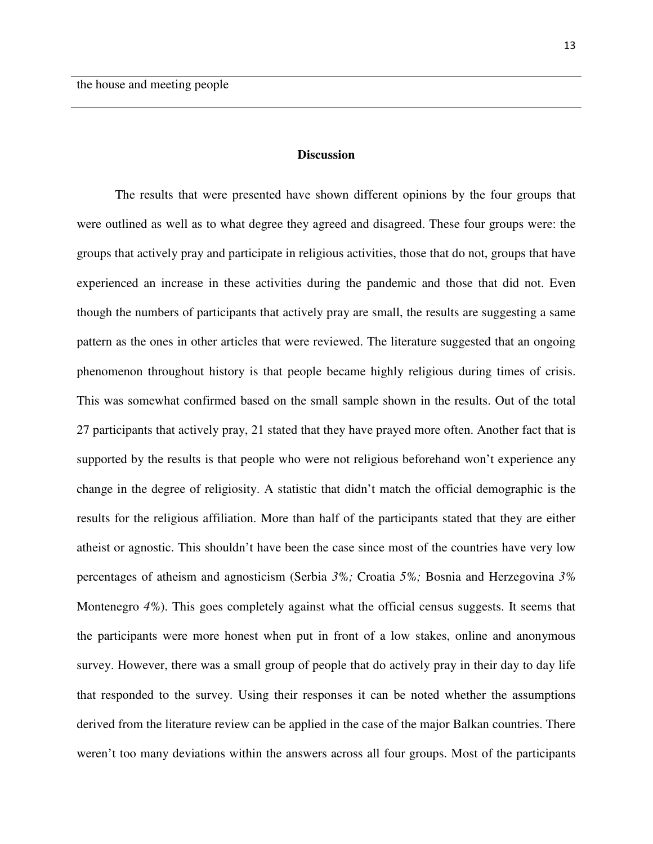#### **Discussion**

 The results that were presented have shown different opinions by the four groups that were outlined as well as to what degree they agreed and disagreed. These four groups were: the groups that actively pray and participate in religious activities, those that do not, groups that have experienced an increase in these activities during the pandemic and those that did not. Even though the numbers of participants that actively pray are small, the results are suggesting a same pattern as the ones in other articles that were reviewed. The literature suggested that an ongoing phenomenon throughout history is that people became highly religious during times of crisis. This was somewhat confirmed based on the small sample shown in the results. Out of the total 27 participants that actively pray, 21 stated that they have prayed more often. Another fact that is supported by the results is that people who were not religious beforehand won't experience any change in the degree of religiosity. A statistic that didn't match the official demographic is the results for the religious affiliation. More than half of the participants stated that they are either atheist or agnostic. This shouldn't have been the case since most of the countries have very low percentages of atheism and agnosticism (Serbia *3%;* Croatia *5%;* Bosnia and Herzegovina *3%* Montenegro *4%*). This goes completely against what the official census suggests. It seems that the participants were more honest when put in front of a low stakes, online and anonymous survey. However, there was a small group of people that do actively pray in their day to day life that responded to the survey. Using their responses it can be noted whether the assumptions derived from the literature review can be applied in the case of the major Balkan countries. There weren't too many deviations within the answers across all four groups. Most of the participants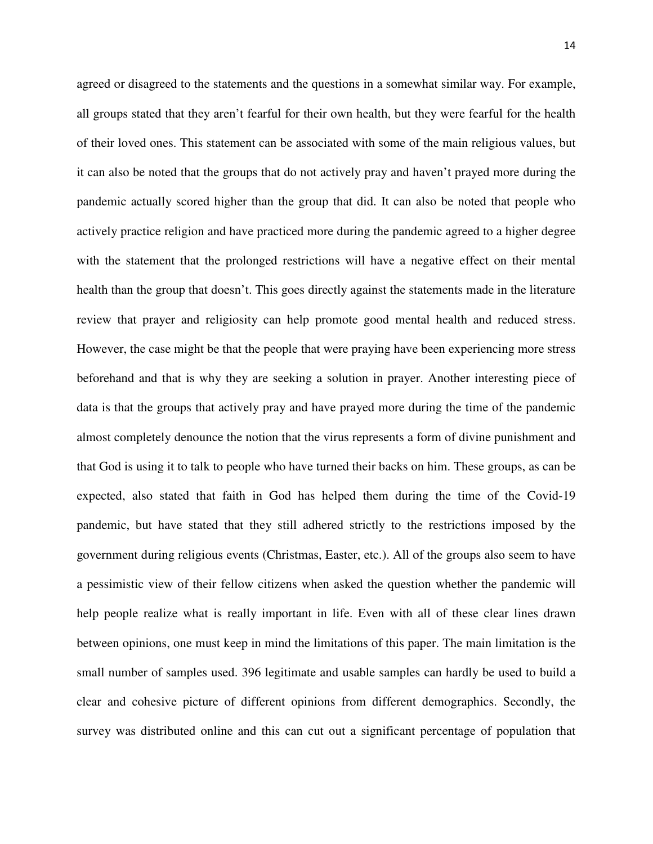agreed or disagreed to the statements and the questions in a somewhat similar way. For example, all groups stated that they aren't fearful for their own health, but they were fearful for the health of their loved ones. This statement can be associated with some of the main religious values, but it can also be noted that the groups that do not actively pray and haven't prayed more during the pandemic actually scored higher than the group that did. It can also be noted that people who actively practice religion and have practiced more during the pandemic agreed to a higher degree with the statement that the prolonged restrictions will have a negative effect on their mental health than the group that doesn't. This goes directly against the statements made in the literature review that prayer and religiosity can help promote good mental health and reduced stress. However, the case might be that the people that were praying have been experiencing more stress beforehand and that is why they are seeking a solution in prayer. Another interesting piece of data is that the groups that actively pray and have prayed more during the time of the pandemic almost completely denounce the notion that the virus represents a form of divine punishment and that God is using it to talk to people who have turned their backs on him. These groups, as can be expected, also stated that faith in God has helped them during the time of the Covid-19 pandemic, but have stated that they still adhered strictly to the restrictions imposed by the government during religious events (Christmas, Easter, etc.). All of the groups also seem to have a pessimistic view of their fellow citizens when asked the question whether the pandemic will help people realize what is really important in life. Even with all of these clear lines drawn between opinions, one must keep in mind the limitations of this paper. The main limitation is the small number of samples used. 396 legitimate and usable samples can hardly be used to build a clear and cohesive picture of different opinions from different demographics. Secondly, the survey was distributed online and this can cut out a significant percentage of population that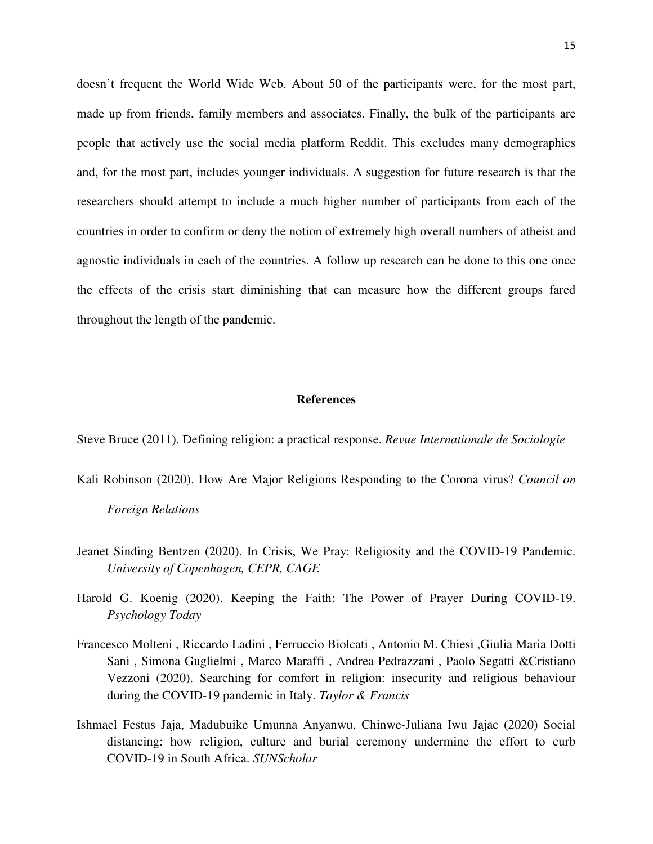doesn't frequent the World Wide Web. About 50 of the participants were, for the most part, made up from friends, family members and associates. Finally, the bulk of the participants are people that actively use the social media platform Reddit. This excludes many demographics and, for the most part, includes younger individuals. A suggestion for future research is that the researchers should attempt to include a much higher number of participants from each of the countries in order to confirm or deny the notion of extremely high overall numbers of atheist and agnostic individuals in each of the countries. A follow up research can be done to this one once the effects of the crisis start diminishing that can measure how the different groups fared throughout the length of the pandemic.

#### **References**

Steve Bruce (2011). Defining religion: a practical response. *Revue Internationale de Sociologie*

- Kali Robinson (2020). How Are Major Religions Responding to the Corona virus? *Council on Foreign Relations*
- Jeanet Sinding Bentzen (2020). In Crisis, We Pray: Religiosity and the COVID-19 Pandemic. *University of Copenhagen, CEPR, CAGE*
- Harold G. Koenig (2020). Keeping the Faith: The Power of Prayer During COVID-19. *Psychology Today*
- Francesco Molteni , Riccardo Ladini , Ferruccio Biolcati , Antonio M. Chiesi ,Giulia Maria Dotti Sani , Simona Guglielmi , Marco Maraffi , Andrea Pedrazzani , Paolo Segatti &Cristiano Vezzoni (2020). Searching for comfort in religion: insecurity and religious behaviour during the COVID-19 pandemic in Italy. *Taylor & Francis*
- Ishmael Festus Jaja, Madubuike Umunna Anyanwu, Chinwe-Juliana Iwu Jajac (2020) Social distancing: how religion, culture and burial ceremony undermine the effort to curb COVID-19 in South Africa. *SUNScholar*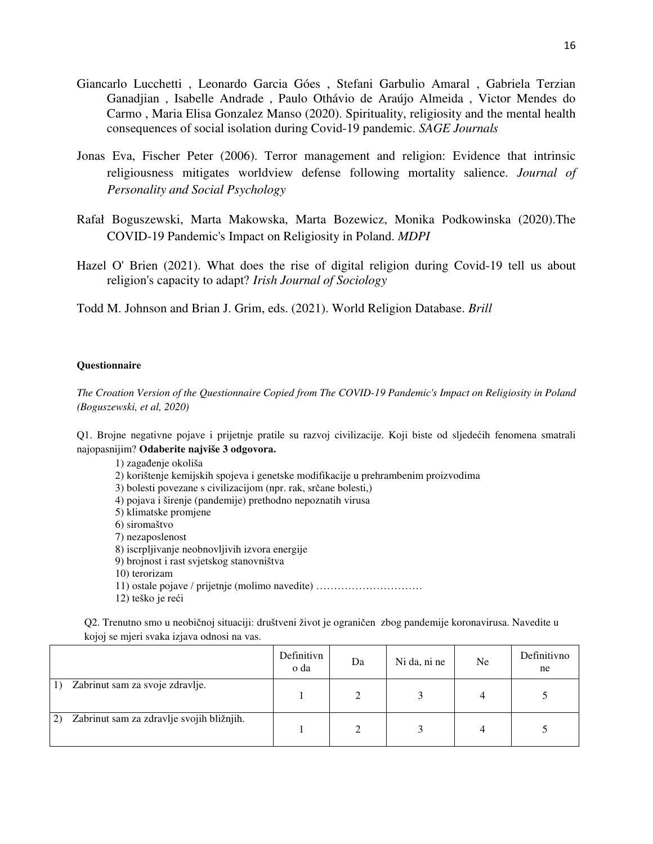- Giancarlo Lucchetti , Leonardo Garcia Góes , Stefani Garbulio Amaral , Gabriela Terzian Ganadjian , Isabelle Andrade , Paulo Othávio de Araújo Almeida , Victor Mendes do Carmo , Maria Elisa Gonzalez Manso (2020). Spirituality, religiosity and the mental health consequences of social isolation during Covid-19 pandemic. *SAGE Journals*
- Jonas Eva, Fischer Peter (2006). Terror management and religion: Evidence that intrinsic religiousness mitigates worldview defense following mortality salience. *Journal of Personality and Social Psychology*
- Rafał Boguszewski, Marta Makowska, Marta Bozewicz, Monika Podkowinska (2020).The COVID-19 Pandemic's Impact on Religiosity in Poland. *MDPI*
- Hazel O' Brien (2021). What does the rise of digital religion during Covid-19 tell us about religion's capacity to adapt? *Irish Journal of Sociology*

Todd M. Johnson and Brian J. Grim, eds. (2021). World Religion Database. *Brill*

#### **Questionnaire**

*The Croation Version of the Questionnaire Copied from The COVID-19 Pandemic's Impact on Religiosity in Poland (Boguszewski, et al, 2020)* 

Q1. Brojne negativne pojave i prijetnje pratile su razvoj civilizacije. Koji biste od sljedećih fenomena smatrali najopasnijim? **Odaberite najviše 3 odgovora.** 

- 1) zagađenje okoliša
- 2) korištenje kemijskih spojeva i genetske modifikacije u prehrambenim proizvodima
- 3) bolesti povezane s civilizacijom (npr. rak, srčane bolesti,)
- 4) pojava i širenje (pandemije) prethodno nepoznatih virusa
- 5) klimatske promjene
- 6) siromaštvo
- 7) nezaposlenost
- 8) iscrpljivanje neobnovljivih izvora energije
- 9) brojnost i rast svjetskog stanovništva
- 10) terorizam
- 11) ostale pojave / prijetnje (molimo navedite) …………………………
- 12) teško je reći

Q2. Trenutno smo u neobičnoj situaciji: društveni život je ograničen zbog pandemije koronavirusa. Navedite u kojoj se mjeri svaka izjava odnosi na vas.

|                                           | Definitivn<br>o da | Da | Ni da, ni ne | Ne | Definitivno<br>ne |
|-------------------------------------------|--------------------|----|--------------|----|-------------------|
| Zabrinut sam za svoje zdravlje.           |                    |    |              | 4  |                   |
| Zabrinut sam za zdravlje svojih bližnjih. |                    |    |              |    |                   |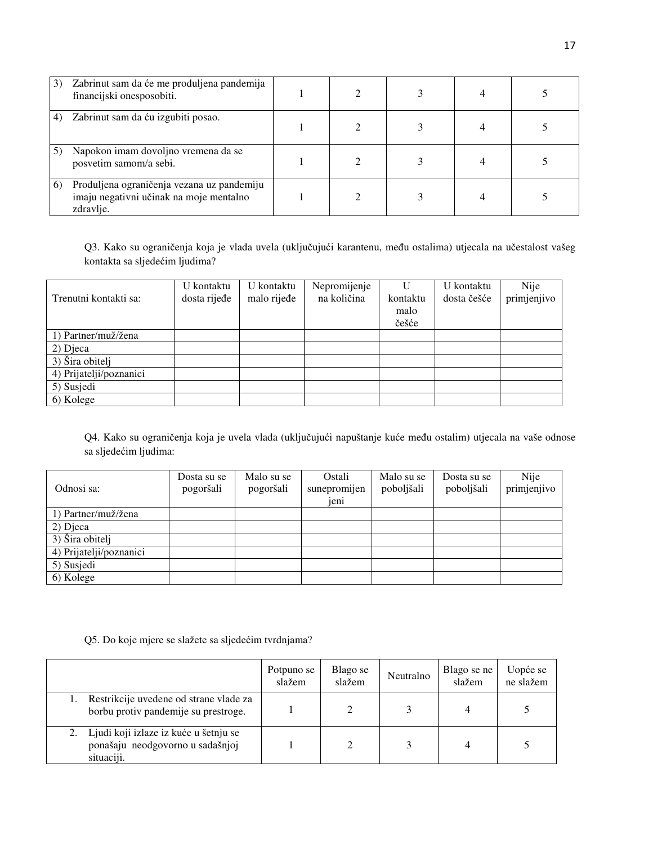| 3)         | Zabrinut sam da će me produljena pandemija<br>financijski onesposobiti.                            |  |  |  |
|------------|----------------------------------------------------------------------------------------------------|--|--|--|
| 4)         | Zabrinut sam da ću izgubiti posao.                                                                 |  |  |  |
|            | Napokon imam dovoljno vremena da se<br>posvetim samom/a sebi.                                      |  |  |  |
| $\epsilon$ | Produljena ograničenja vezana uz pandemiju<br>imaju negativni učinak na moje mentalno<br>zdravlje. |  |  |  |

Q3. Kako su ograničenja koja je vlada uvela (uključujući karantenu, među ostalima) utjecala na učestalost vašeg kontakta sa sljedećim ljudima?

|                         | U kontaktu   | U kontaktu  | Nepromijenje | U        | U kontaktu  | Nije        |
|-------------------------|--------------|-------------|--------------|----------|-------------|-------------|
| Trenutni kontakti sa:   | dosta rijeđe | malo rijeđe | na količina  | kontaktu | dosta češće | primjenjivo |
|                         |              |             |              | malo     |             |             |
|                         |              |             |              | češće    |             |             |
| 1) Partner/muž/žena     |              |             |              |          |             |             |
| 2) Djeca                |              |             |              |          |             |             |
| 3) Šira obitelj         |              |             |              |          |             |             |
| 4) Prijatelji/poznanici |              |             |              |          |             |             |
| 5) Susjedi              |              |             |              |          |             |             |
| 6) Kolege               |              |             |              |          |             |             |

Q4. Kako su ograničenja koja je uvela vlada (uključujući napuštanje kuće među ostalim) utjecala na vaše odnose sa sljedećim ljudima:

| Odnosi sa:              | Dosta su se<br>pogoršali | Malo su se<br>pogoršali | Ostali<br>sunepromijen<br>jeni | Malo su se<br>poboljšali | Dosta su se<br>poboljšali | Nije<br>primjenjivo |
|-------------------------|--------------------------|-------------------------|--------------------------------|--------------------------|---------------------------|---------------------|
| 1) Partner/muž/žena     |                          |                         |                                |                          |                           |                     |
| 2) Djeca                |                          |                         |                                |                          |                           |                     |
| 3) Šira obitelj         |                          |                         |                                |                          |                           |                     |
| 4) Prijatelji/poznanici |                          |                         |                                |                          |                           |                     |
| 5) Susjedi              |                          |                         |                                |                          |                           |                     |
| 6) Kolege               |                          |                         |                                |                          |                           |                     |

#### Q5. Do koje mjere se slažete sa sljedećim tvrdnjama?

|                                                                                         | Potpuno se<br>slažem | Blago se<br>slažem | Neutralno | Blago se ne<br>slažem | Uopće se<br>ne slažem |
|-----------------------------------------------------------------------------------------|----------------------|--------------------|-----------|-----------------------|-----------------------|
| Restrikcije uvedene od strane vlade za<br>borbu protiv pandemije su prestroge.          |                      |                    |           |                       |                       |
| Ljudi koji izlaze iz kuće u šetnju se<br>ponašaju neodgovorno u sadašnjoj<br>situaciji. |                      |                    |           | 4                     |                       |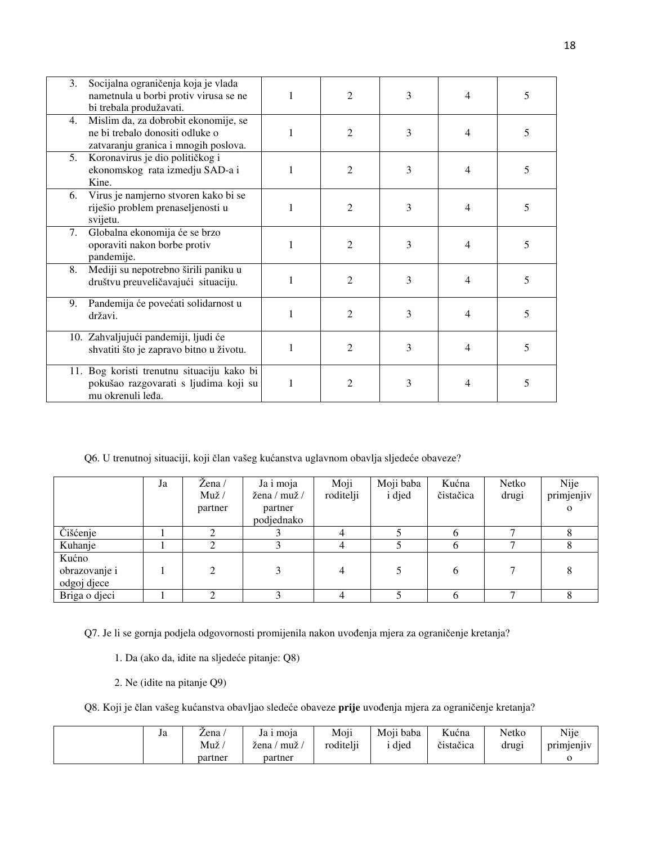| 3. | Socijalna ograničenja koja je vlada<br>nametnula u borbi protiv virusa se ne<br>bi trebala produžavati.         | 1 | 2              | 3 | 4              | 5 |
|----|-----------------------------------------------------------------------------------------------------------------|---|----------------|---|----------------|---|
| 4. | Mislim da, za dobrobit ekonomije, se<br>ne bi trebalo donositi odluke o<br>zatvaranju granica i mnogih poslova. |   | 2              | 3 | $\overline{4}$ | 5 |
| 5. | Koronavirus je dio političkog i<br>ekonomskog rata izmedju SAD-a i<br>Kine.                                     |   | $\overline{2}$ | 3 | $\overline{4}$ | 5 |
| 6. | Virus je namjerno stvoren kako bi se<br>riješio problem prenaseljenosti u<br>svijetu.                           | 1 | $\overline{2}$ | 3 | 4              | 5 |
| 7. | Globalna ekonomija će se brzo<br>oporaviti nakon borbe protiv<br>pandemije.                                     | 1 | $\overline{2}$ | 3 | $\overline{4}$ | 5 |
| 8. | Mediji su nepotrebno širili paniku u<br>društvu preuveličavajući situaciju.                                     |   | 2              | 3 | $\overline{4}$ | 5 |
| 9. | Pandemija će povećati solidarnost u<br>državi.                                                                  |   | $\overline{c}$ | 3 | $\overline{4}$ | 5 |
|    | 10. Zahvaljujući pandemiji, ljudi će<br>shvatiti što je zapravo bitno u životu.                                 | 1 | $\overline{2}$ | 3 | $\overline{4}$ | 5 |
|    | 11. Bog koristi trenutnu situaciju kako bi<br>pokušao razgovarati s ljudima koji su<br>mu okrenuli leđa.        | 1 | 2              | 3 | $\overline{4}$ | 5 |

Q6. U trenutnoj situaciji, koji član vašeg kućanstva uglavnom obavlja sljedeće obaveze?

|               | Ja | Žena/                       | Ja i moja    | Moji      | Moji baba     | Kućna     | Netko | Nije       |
|---------------|----|-----------------------------|--------------|-----------|---------------|-----------|-------|------------|
|               |    | Muž /                       | žena / muž / | roditelji | <i>i</i> djed | čistačica | drugi | primjenjiv |
|               |    | partner                     | partner      |           |               |           |       | $\Omega$   |
|               |    |                             | podjednako   |           |               |           |       |            |
| Čišćenje      |    |                             |              |           |               |           |       |            |
| Kuhanje       |    |                             |              |           |               |           |       |            |
| Kućno         |    |                             |              |           |               |           |       |            |
| obrazovanje i |    | $\mathcal{D}_{\mathcal{L}}$ |              |           |               |           |       | 8          |
| odgoj djece   |    |                             |              |           |               |           |       |            |
| Briga o djeci |    |                             |              |           |               |           |       |            |

Q7. Je li se gornja podjela odgovornosti promijenila nakon uvođenja mjera za ograničenje kretanja?

- 1. Da (ako da, idite na sljedeće pitanje: Q8)
- 2. Ne (idite na pitanje Q9)

Q8. Koji je član vašeg kućanstva obavljao sledeće obaveze **prije** uvođenja mjera za ograničenje kretanja?

| Ja | ∠ena    | moja<br>Ja 1          | Moji      | Moji baba                     | <b>T</b> <sub>r</sub><br>Kućna | Netko | Nije                          |
|----|---------|-----------------------|-----------|-------------------------------|--------------------------------|-------|-------------------------------|
|    | Muž /   | $\sim$<br>muž<br>žena | roditelji | $\cdots$<br>d <sub>1</sub> ed | čistačica                      | drugi | $\cdot$ $\cdot$<br>primjenjiv |
|    | partner | partner               |           |                               |                                |       |                               |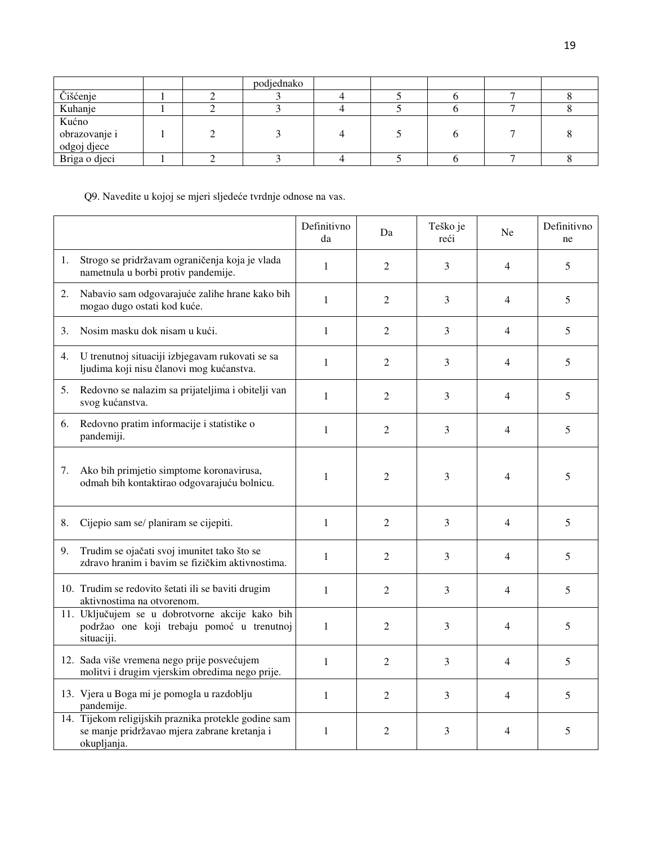|                                       |  | podjednako |  |  |  |
|---------------------------------------|--|------------|--|--|--|
| Čišćenje                              |  |            |  |  |  |
| Kuhanje                               |  |            |  |  |  |
| Kućno<br>obrazovanje i<br>odgoj djece |  |            |  |  |  |
| Briga o djeci                         |  |            |  |  |  |

Q9. Navedite u kojoj se mjeri sljedeće tvrdnje odnose na vas.

|    |                                                                                                                     | Definitivno<br>da | Da             | Teško je<br>reći | <b>Ne</b>      | Definitivno<br>ne |
|----|---------------------------------------------------------------------------------------------------------------------|-------------------|----------------|------------------|----------------|-------------------|
| 1. | Strogo se pridržavam ograničenja koja je vlada<br>nametnula u borbi protiv pandemije.                               | 1                 | 2              | 3                | 4              | 5                 |
| 2. | Nabavio sam odgovarajuće zalihe hrane kako bih<br>mogao dugo ostati kod kuće.                                       | $\mathbf{1}$      | $\overline{2}$ | 3                | 4              | 5                 |
| 3. | Nosim masku dok nisam u kući.                                                                                       | $\mathbf{1}$      | $\overline{2}$ | 3                | 4              | 5                 |
| 4. | U trenutnoj situaciji izbjegavam rukovati se sa<br>ljudima koji nisu članovi mog kućanstva.                         | 1                 | 2              | 3                | 4              | 5                 |
| 5. | Redovno se nalazim sa prijateljima i obitelji van<br>svog kućanstva.                                                | 1                 | 2              | 3                | 4              | 5                 |
| 6. | Redovno pratim informacije i statistike o<br>pandemiji.                                                             | $\mathbf{1}$      | $\overline{2}$ | 3                | 4              | 5                 |
| 7. | Ako bih primjetio simptome koronavirusa,<br>odmah bih kontaktirao odgovarajuću bolnicu.                             | 1                 | 2              | 3                | 4              | 5                 |
| 8. | Cijepio sam se/ planiram se cijepiti.                                                                               | 1                 | $\overline{2}$ | 3                | 4              | 5                 |
| 9. | Trudim se ojačati svoj imunitet tako što se<br>zdravo hranim i bavim se fizičkim aktivnostima.                      | $\mathbf{1}$      | 2              | 3                | $\overline{4}$ | 5                 |
|    | 10. Trudim se redovito šetati ili se baviti drugim<br>aktivnostima na otvorenom.                                    | $\mathbf{1}$      | 2              | 3                | $\overline{4}$ | 5                 |
|    | 11. Uključujem se u dobrotvorne akcije kako bih<br>podržao one koji trebaju pomoć u trenutnoj<br>situaciji.         | $\mathbf{1}$      | 2              | 3                | 4              | 5                 |
|    | 12. Sada više vremena nego prije posvećujem<br>molitvi i drugim vjerskim obredima nego prije.                       | $\mathbf{1}$      | $\overline{2}$ | 3                | 4              | 5                 |
|    | 13. Vjera u Boga mi je pomogla u razdoblju<br>pandemije.                                                            | $\mathbf{1}$      | $\overline{2}$ | 3                | 4              | 5                 |
|    | 14. Tijekom religijskih praznika protekle godine sam<br>se manje pridržavao mjera zabrane kretanja i<br>okupljanja. | 1                 | 2              | 3                | 4              | 5                 |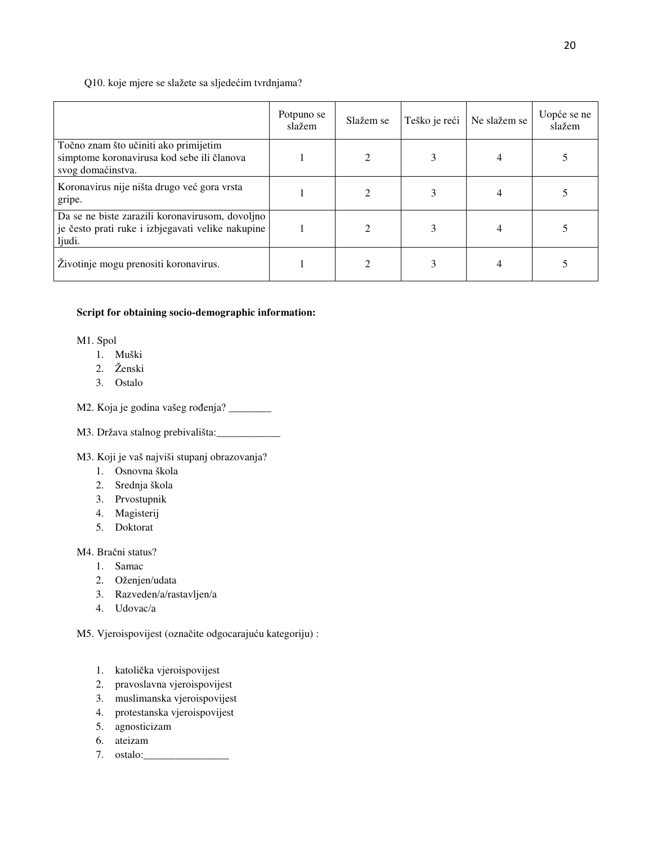#### Q10. koje mjere se slažete sa sljedećim tvrdnjama?

|                                                                                                                | Potpuno se<br>slažem | Slažem se | Teško je reći | Ne slažem se | Uopće se ne<br>slažem |
|----------------------------------------------------------------------------------------------------------------|----------------------|-----------|---------------|--------------|-----------------------|
| Točno znam što učiniti ako primijetim<br>simptome koronavirusa kod sebe ili članova<br>svog domaćinstva.       |                      |           | 3             |              |                       |
| Koronavirus nije ništa drugo već gora vrsta<br>gripe.                                                          |                      |           |               |              |                       |
| Da se ne biste zarazili koronavirusom, dovoljno<br>je često prati ruke i izbjegavati velike nakupine<br>ljudi. |                      |           |               |              |                       |
| Životinje mogu prenositi koronavirus.                                                                          |                      |           |               |              |                       |

#### **Script for obtaining socio-demographic information:**

#### M1. Spol

- 1. Muški
- 2. Ženski
- 3. Ostalo

#### M2. Koja je godina vašeg rođenja? \_\_\_\_\_\_\_\_

M3. Država stalnog prebivališta:\_\_\_\_\_\_\_\_\_\_\_\_

### M3. Koji je vaš najviši stupanj obrazovanja?

- 1. Osnovna škola
- 2. Srednja škola
- 3. Prvostupnik
- 4. Magisterij
- 5. Doktorat

#### M4. Bračni status?

- 1. Samac
- 2. Oženjen/udata
- 3. Razveden/a/rastavljen/a
- 4. Udovac/a

M5. Vjeroispovijest (označite odgocarajuću kategoriju) :

- 1. katolička vjeroispovijest
- 2. pravoslavna vjeroispovijest
- 3. muslimanska vjeroispovijest
- 4. protestanska vjeroispovijest
- 5. agnosticizam
- 6. ateizam
- 7. ostalo:\_\_\_\_\_\_\_\_\_\_\_\_\_\_\_\_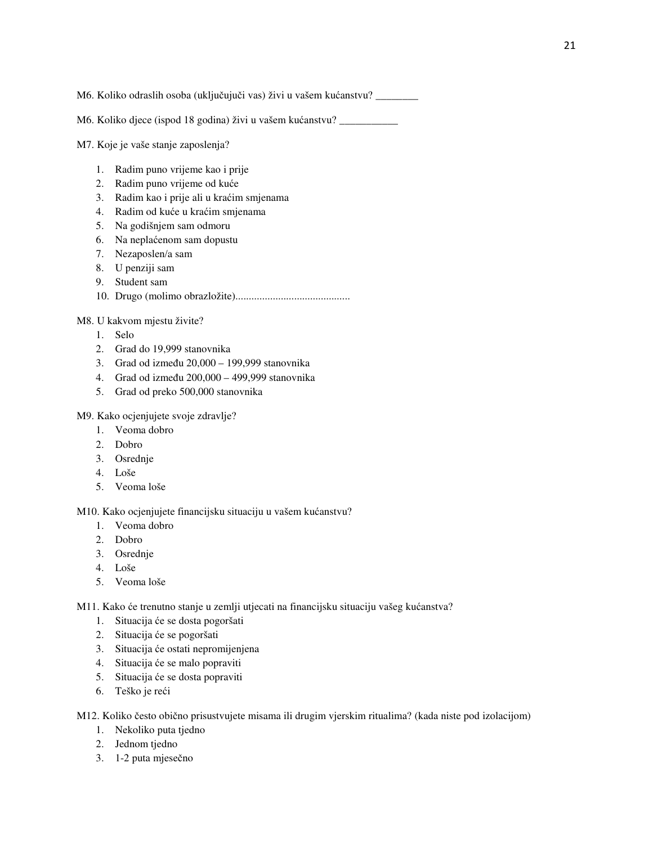M6. Koliko odraslih osoba (uključujuči vas) živi u vašem kućanstvu? \_\_\_\_\_\_\_\_

M6. Koliko djece (ispod 18 godina) živi u vašem kućanstvu? \_\_\_\_\_\_\_\_\_\_\_

M7. Koje je vaše stanje zaposlenja?

- 1. Radim puno vrijeme kao i prije
- 2. Radim puno vrijeme od kuće
- 3. Radim kao i prije ali u kraćim smjenama
- 4. Radim od kuće u kraćim smjenama
- 5. Na godišnjem sam odmoru
- 6. Na neplaćenom sam dopustu
- 7. Nezaposlen/a sam
- 8. U penziji sam
- 9. Student sam
- 10. Drugo (molimo obrazložite)...........................................

M8. U kakvom mjestu živite?

- 1. Selo
- 2. Grad do 19,999 stanovnika
- 3. Grad od između 20,000 199,999 stanovnika
- 4. Grad od između 200,000 499,999 stanovnika
- 5. Grad od preko 500,000 stanovnika

#### M9. Kako ocjenjujete svoje zdravlje?

- 1. Veoma dobro
- 2. Dobro
- 3. Osrednje
- 4. Loše
- 5. Veoma loše

M10. Kako ocjenjujete financijsku situaciju u vašem kućanstvu?

- 1. Veoma dobro
- 2. Dobro
- 3. Osrednje
- 4. Loše
- 5. Veoma loše

M11. Kako će trenutno stanje u zemlji utjecati na financijsku situaciju vašeg kućanstva?

- 1. Situacija će se dosta pogoršati
- 2. Situacija će se pogoršati
- 3. Situacija će ostati nepromijenjena
- 4. Situacija će se malo popraviti
- 5. Situacija će se dosta popraviti
- 6. Teško je reći

M12. Koliko često obično prisustvujete misama ili drugim vjerskim ritualima? (kada niste pod izolacijom)

- 1. Nekoliko puta tjedno
- 2. Jednom tjedno
- 3. 1-2 puta mjesečno